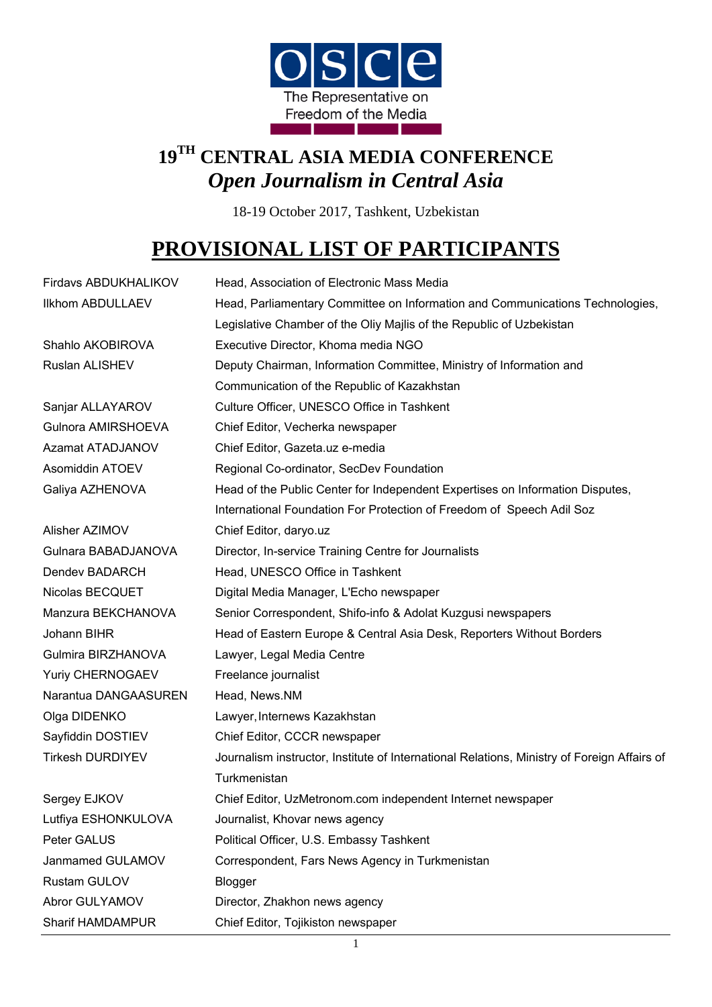

# **19TH CENTRAL ASIA MEDIA CONFERENCE**  *Open Journalism in Central Asia*

18-19 October 2017, Tashkent, Uzbekistan

## **PROVISIONAL LIST OF PARTICIPANTS**

| Firdays ABDUKHALIKOV    | Head, Association of Electronic Mass Media                                                  |
|-------------------------|---------------------------------------------------------------------------------------------|
| <b>Ilkhom ABDULLAEV</b> | Head, Parliamentary Committee on Information and Communications Technologies,               |
|                         | Legislative Chamber of the Oliy Majlis of the Republic of Uzbekistan                        |
| Shahlo AKOBIROVA        | Executive Director, Khoma media NGO                                                         |
| Ruslan ALISHEV          | Deputy Chairman, Information Committee, Ministry of Information and                         |
|                         | Communication of the Republic of Kazakhstan                                                 |
| Sanjar ALLAYAROV        | Culture Officer, UNESCO Office in Tashkent                                                  |
| Gulnora AMIRSHOEVA      | Chief Editor, Vecherka newspaper                                                            |
| Azamat ATADJANOV        | Chief Editor, Gazeta.uz e-media                                                             |
| Asomiddin ATOEV         | Regional Co-ordinator, SecDev Foundation                                                    |
| Galiya AZHENOVA         | Head of the Public Center for Independent Expertises on Information Disputes,               |
|                         | International Foundation For Protection of Freedom of Speech Adil Soz                       |
| Alisher AZIMOV          | Chief Editor, daryo.uz                                                                      |
| Gulnara BABADJANOVA     | Director, In-service Training Centre for Journalists                                        |
| Dendev BADARCH          | Head, UNESCO Office in Tashkent                                                             |
| Nicolas BECQUET         | Digital Media Manager, L'Echo newspaper                                                     |
| Manzura BEKCHANOVA      | Senior Correspondent, Shifo-info & Adolat Kuzgusi newspapers                                |
| Johann BIHR             | Head of Eastern Europe & Central Asia Desk, Reporters Without Borders                       |
| Gulmira BIRZHANOVA      | Lawyer, Legal Media Centre                                                                  |
| <b>Yuriy CHERNOGAEV</b> | Freelance journalist                                                                        |
| Narantua DANGAASUREN    | Head, News.NM                                                                               |
| Olga DIDENKO            | Lawyer, Internews Kazakhstan                                                                |
| Sayfiddin DOSTIEV       | Chief Editor, CCCR newspaper                                                                |
| <b>Tirkesh DURDIYEV</b> | Journalism instructor, Institute of International Relations, Ministry of Foreign Affairs of |
|                         | Turkmenistan                                                                                |
| Sergey EJKOV            | Chief Editor, UzMetronom.com independent Internet newspaper                                 |
| Lutfiya ESHONKULOVA     | Journalist, Khovar news agency                                                              |
| Peter GALUS             | Political Officer, U.S. Embassy Tashkent                                                    |
| Janmamed GULAMOV        | Correspondent, Fars News Agency in Turkmenistan                                             |
| Rustam GULOV            | Blogger                                                                                     |
| Abror GULYAMOV          | Director, Zhakhon news agency                                                               |
| Sharif HAMDAMPUR        | Chief Editor, Tojikiston newspaper                                                          |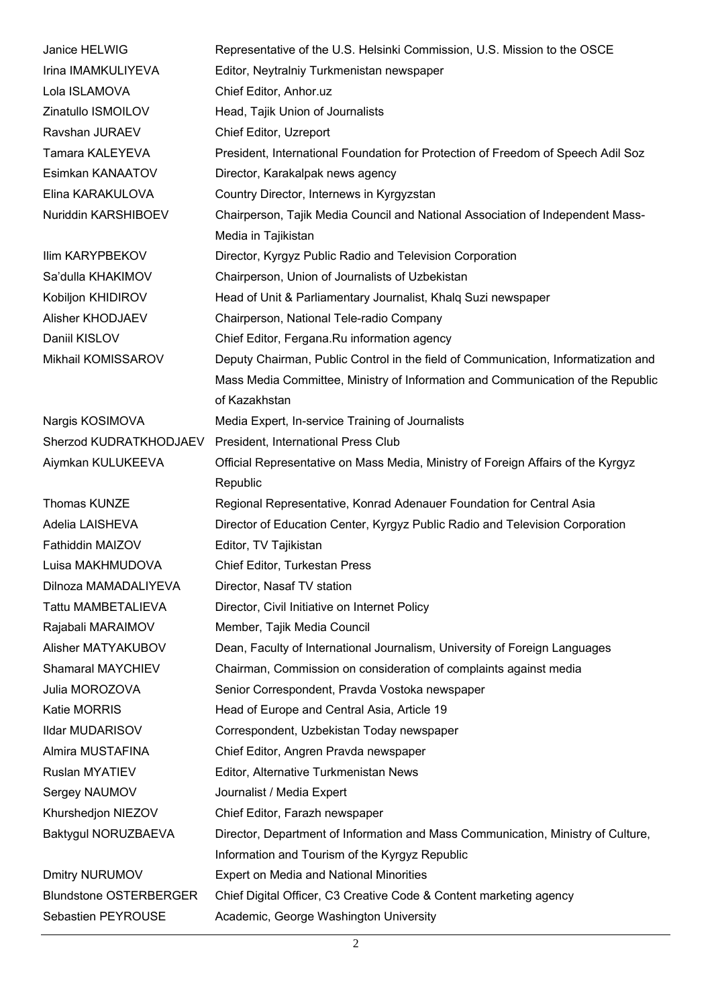| Janice HELWIG                 | Representative of the U.S. Helsinki Commission, U.S. Mission to the OSCE           |
|-------------------------------|------------------------------------------------------------------------------------|
| Irina IMAMKULIYEVA            | Editor, Neytralniy Turkmenistan newspaper                                          |
| Lola ISLAMOVA                 | Chief Editor, Anhor.uz                                                             |
| Zinatullo ISMOILOV            | Head, Tajik Union of Journalists                                                   |
| Ravshan JURAEV                | Chief Editor, Uzreport                                                             |
| Tamara KALEYEVA               | President, International Foundation for Protection of Freedom of Speech Adil Soz   |
| Esimkan KANAATOV              | Director, Karakalpak news agency                                                   |
| Elina KARAKULOVA              | Country Director, Internews in Kyrgyzstan                                          |
| Nuriddin KARSHIBOEV           | Chairperson, Tajik Media Council and National Association of Independent Mass-     |
|                               | Media in Tajikistan                                                                |
| Ilim KARYPBEKOV               | Director, Kyrgyz Public Radio and Television Corporation                           |
| Sa'dulla KHAKIMOV             | Chairperson, Union of Journalists of Uzbekistan                                    |
| Kobiljon KHIDIROV             | Head of Unit & Parliamentary Journalist, Khalq Suzi newspaper                      |
| Alisher KHODJAEV              | Chairperson, National Tele-radio Company                                           |
| Daniil KISLOV                 | Chief Editor, Fergana.Ru information agency                                        |
| Mikhail KOMISSAROV            | Deputy Chairman, Public Control in the field of Communication, Informatization and |
|                               | Mass Media Committee, Ministry of Information and Communication of the Republic    |
|                               | of Kazakhstan                                                                      |
| Nargis KOSIMOVA               | Media Expert, In-service Training of Journalists                                   |
| Sherzod KUDRATKHODJAEV        | President, International Press Club                                                |
| Aiymkan KULUKEEVA             | Official Representative on Mass Media, Ministry of Foreign Affairs of the Kyrgyz   |
|                               | Republic                                                                           |
| <b>Thomas KUNZE</b>           | Regional Representative, Konrad Adenauer Foundation for Central Asia               |
| Adelia LAISHEVA               | Director of Education Center, Kyrgyz Public Radio and Television Corporation       |
| Fathiddin MAIZOV              | Editor, TV Tajikistan                                                              |
| Luisa MAKHMUDOVA              | Chief Editor, Turkestan Press                                                      |
| Dilnoza MAMADALIYEVA          | Director, Nasaf TV station                                                         |
| Tattu MAMBETALIEVA            | Director, Civil Initiative on Internet Policy                                      |
| Rajabali MARAIMOV             | Member, Tajik Media Council                                                        |
| Alisher MATYAKUBOV            | Dean, Faculty of International Journalism, University of Foreign Languages         |
| Shamaral MAYCHIEV             | Chairman, Commission on consideration of complaints against media                  |
| Julia MOROZOVA                | Senior Correspondent, Pravda Vostoka newspaper                                     |
| Katie MORRIS                  | Head of Europe and Central Asia, Article 19                                        |
| <b>Ildar MUDARISOV</b>        | Correspondent, Uzbekistan Today newspaper                                          |
| Almira MUSTAFINA              | Chief Editor, Angren Pravda newspaper                                              |
| Ruslan MYATIEV                | Editor, Alternative Turkmenistan News                                              |
| Sergey NAUMOV                 | Journalist / Media Expert                                                          |
| Khurshedjon NIEZOV            | Chief Editor, Farazh newspaper                                                     |
| Baktygul NORUZBAEVA           | Director, Department of Information and Mass Communication, Ministry of Culture,   |
|                               | Information and Tourism of the Kyrgyz Republic                                     |
| Dmitry NURUMOV                | <b>Expert on Media and National Minorities</b>                                     |
| <b>Blundstone OSTERBERGER</b> | Chief Digital Officer, C3 Creative Code & Content marketing agency                 |
| Sebastien PEYROUSE            | Academic, George Washington University                                             |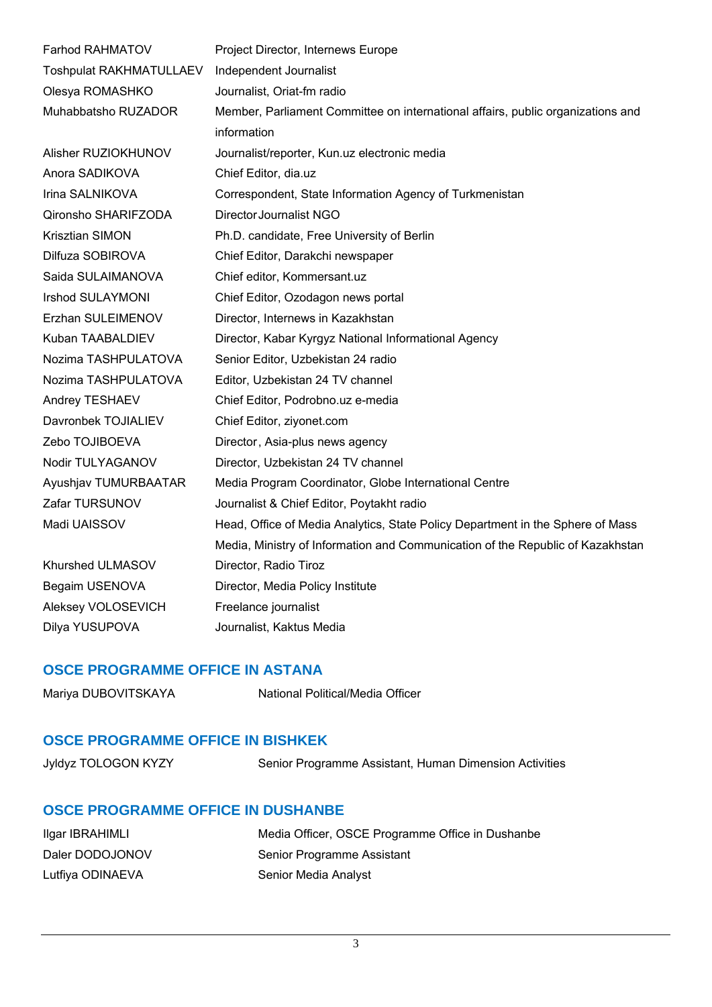| <b>Farhod RAHMATOV</b>         | Project Director, Internews Europe                                              |
|--------------------------------|---------------------------------------------------------------------------------|
| <b>Toshpulat RAKHMATULLAEV</b> | Independent Journalist                                                          |
| Olesya ROMASHKO                | Journalist, Oriat-fm radio                                                      |
| Muhabbatsho RUZADOR            | Member, Parliament Committee on international affairs, public organizations and |
|                                | information                                                                     |
| Alisher RUZIOKHUNOV            | Journalist/reporter, Kun.uz electronic media                                    |
| Anora SADIKOVA                 | Chief Editor, dia.uz                                                            |
| Irina SALNIKOVA                | Correspondent, State Information Agency of Turkmenistan                         |
| Qironsho SHARIFZODA            | Director Journalist NGO                                                         |
| Krisztian SIMON                | Ph.D. candidate, Free University of Berlin                                      |
| Dilfuza SOBIROVA               | Chief Editor, Darakchi newspaper                                                |
| Saida SULAIMANOVA              | Chief editor, Kommersant.uz                                                     |
| Irshod SULAYMONI               | Chief Editor, Ozodagon news portal                                              |
| Erzhan SULEIMENOV              | Director, Internews in Kazakhstan                                               |
| Kuban TAABALDIEV               | Director, Kabar Kyrgyz National Informational Agency                            |
| Nozima TASHPULATOVA            | Senior Editor, Uzbekistan 24 radio                                              |
| Nozima TASHPULATOVA            | Editor, Uzbekistan 24 TV channel                                                |
| Andrey TESHAEV                 | Chief Editor, Podrobno.uz e-media                                               |
| Davronbek TOJIALIEV            | Chief Editor, ziyonet.com                                                       |
| Zebo TOJIBOEVA                 | Director, Asia-plus news agency                                                 |
| Nodir TULYAGANOV               | Director, Uzbekistan 24 TV channel                                              |
| Ayushjav TUMURBAATAR           | Media Program Coordinator, Globe International Centre                           |
| Zafar TURSUNOV                 | Journalist & Chief Editor, Poytakht radio                                       |
| Madi UAISSOV                   | Head, Office of Media Analytics, State Policy Department in the Sphere of Mass  |
|                                | Media, Ministry of Information and Communication of the Republic of Kazakhstan  |
| Khurshed ULMASOV               | Director, Radio Tiroz                                                           |
| Begaim USENOVA                 | Director, Media Policy Institute                                                |
| Aleksey VOLOSEVICH             | Freelance journalist                                                            |
| Dilya YUSUPOVA                 | Journalist, Kaktus Media                                                        |

#### **OSCE PROGRAMME OFFICE IN ASTANA**

| Mariya DUBOVITSKAYA | National Political/Media Officer |
|---------------------|----------------------------------|
|---------------------|----------------------------------|

#### **OSCE PROGRAMME OFFICE IN BISHKEK**

Jyldyz TOLOGON KYZY Senior Programme Assistant, Human Dimension Activities

#### **OSCE PROGRAMME OFFICE IN DUSHANBE**

| ligar IBRAHIMLI  | Media Officer, OSCE Programme Office in Dushanbe |
|------------------|--------------------------------------------------|
| Daler DODOJONOV  | Senior Programme Assistant                       |
| Lutfiya ODINAEVA | Senior Media Analyst                             |